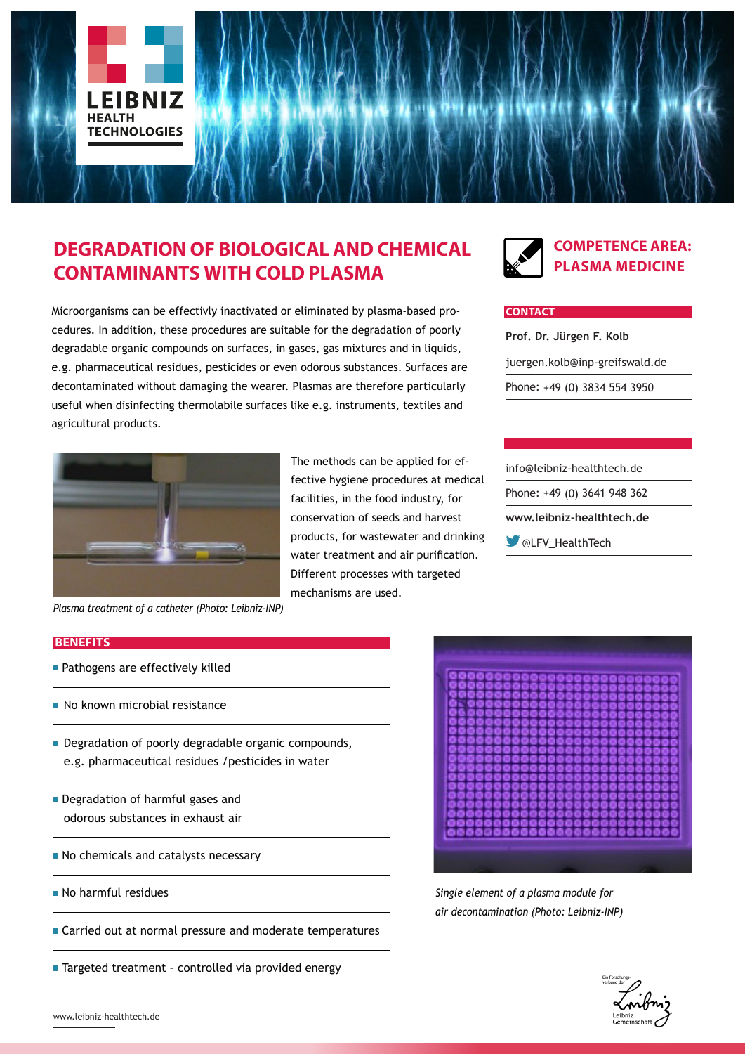

# **DEGRADATION OF BIOLOGICAL AND CHEMICAL CONTAMINANTS WITH COLD PLASMA**

Microorganisms can be effectivly inactivated or eliminated by plasma-based procedures. In addition, these procedures are suitable for the degradation of poorly degradable organic compounds on surfaces, in gases, gas mixtures and in liquids, e.g. pharmaceutical residues, pesticides or even odorous substances. Surfaces are decontaminated without damaging the wearer. Plasmas are therefore particularly useful when disinfecting thermolabile surfaces like e.g. instruments, textiles and agricultural products.



The methods can be applied for effective hygiene procedures at medical facilities, in the food industry, for conservation of seeds and harvest products, for wastewater and drinking water treatment and air purification. Different processes with targeted mechanisms are used.



### **COMPETENCE AREA: PLASMA MEDICINE**

#### **CONTACT**

**Prof. Dr. Jürgen F. Kolb** juergen.kolb@inp-greifswald.de Phone: +49 (0) 3834 554 3950

info@leibniz-healthtech.de Phone: +49 (0) 3641 948 362 **www.leibniz-healthtech.de** @LFV\_HealthTech

*Plasma treatment of a catheter (Photo: Leibniz-INP)*

#### **BENEFITS**

- **Pathogens are effectively killed**
- No known microbial resistance
- Degradation of poorly degradable organic compounds, e.g. pharmaceutical residues /pesticides in water
- Degradation of harmful gases and odorous substances in exhaust air
- No chemicals and catalysts necessary
- No harmful residues
- Carried out at normal pressure and moderate temperatures
- Targeted treatment controlled via provided energy



*Single element of a plasma module for air decontamination (Photo: Leibniz-INP)*